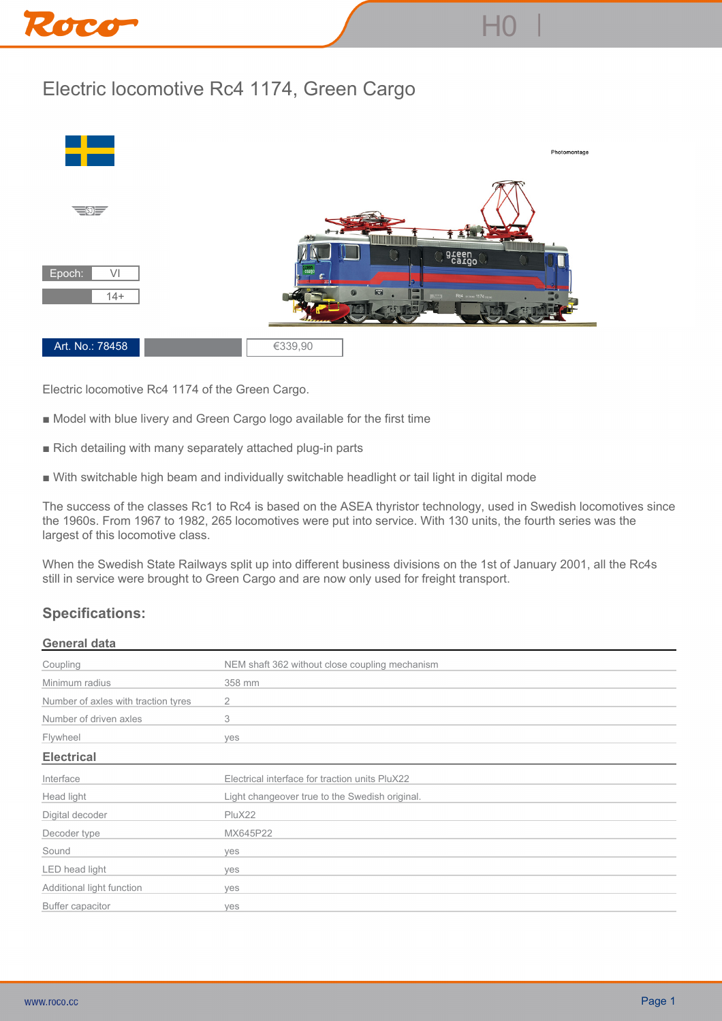

## **Electric locomotive Rc4 1174, Green Cargo**



**Electric locomotive Rc4 1174 of the Green Cargo.**

- **Model with blue livery and Green Cargo logo available for the first time**
- **Rich detailing with many separately attached plug-in parts**
- **With switchable high beam and individually switchable headlight or tail light in digital mode**

**The success of the classes Rc1 to Rc4 is based on the ASEA thyristor technology, used in Swedish locomotives since the 1960s. From 1967 to 1982, 265 locomotives were put into service. With 130 units, the fourth series was the largest of this locomotive class.**

**When the Swedish State Railways split up into different business divisions on the 1st of January 2001, all the Rc4s still in service were brought to Green Cargo and are now only used for freight transport.**

## **Specifications:**

## **General data**

| Coupling                            | NEM shaft 362 without close coupling mechanism |
|-------------------------------------|------------------------------------------------|
| Minimum radius                      | 358 mm                                         |
| Number of axles with traction tyres | 2                                              |
| Number of driven axles              | 3                                              |
| Flywheel                            | ves                                            |
| <b>Electrical</b>                   |                                                |
| Interface                           | Electrical interface for traction units PluX22 |
| Head light                          | Light changeover true to the Swedish original. |
| Digital decoder                     | PluX22                                         |
| Decoder type                        | MX645P22                                       |
| Sound                               | ves                                            |
| LED head light                      | ves                                            |
| Additional light function           | ves                                            |
| Buffer capacitor                    | yes                                            |